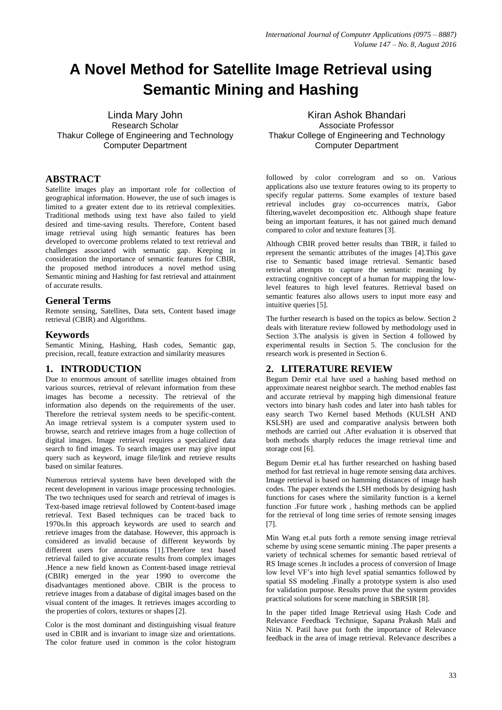# **A Novel Method for Satellite Image Retrieval using Semantic Mining and Hashing**

Linda Mary John Research Scholar Thakur College of Engineering and Technology Computer Department

# **ABSTRACT**

Satellite images play an important role for collection of geographical information. However, the use of such images is limited to a greater extent due to its retrieval complexities. Traditional methods using text have also failed to yield desired and time-saving results. Therefore, Content based image retrieval using high semantic features has been developed to overcome problems related to text retrieval and challenges associated with semantic gap. Keeping in consideration the importance of semantic features for CBIR, the proposed method introduces a novel method using Semantic mining and Hashing for fast retrieval and attainment of accurate results.

# **General Terms**

Remote sensing, Satellites, Data sets, Content based image retrieval (CBIR) and Algorithms.

# **Keywords**

Semantic Mining, Hashing, Hash codes, Semantic gap, precision, recall, feature extraction and similarity measures

# **1. INTRODUCTION**

Due to enormous amount of satellite images obtained from various sources, retrieval of relevant information from these images has become a necessity. The retrieval of the information also depends on the requirements of the user. Therefore the retrieval system needs to be specific-content. An image retrieval system is a computer system used to browse, search and retrieve images from a huge collection of digital images. Image retrieval requires a specialized data search to find images. To search images user may give input query such as keyword, image file/link and retrieve results based on similar features.

Numerous retrieval systems have been developed with the recent development in various image processing technologies. The two techniques used for search and retrieval of images is Text-based image retrieval followed by Content-based image retrieval. Text Based techniques can be traced back to 1970s.In this approach keywords are used to search and retrieve images from the database. However, this approach is considered as invalid because of different keywords by different users for annotations [1].Therefore text based retrieval failed to give accurate results from complex images .Hence a new field known as Content-based image retrieval (CBIR) emerged in the year 1990 to overcome the disadvantages mentioned above. CBIR is the process to retrieve images from a database of digital images based on the visual content of the images. It retrieves images according to the properties of colors, textures or shapes [2].

Color is the most dominant and distinguishing visual feature used in CBIR and is invariant to image size and orientations. The color feature used in common is the color histogram

Kiran Ashok Bhandari Associate Professor Thakur College of Engineering and Technology Computer Department

followed by color correlogram and so on. Various applications also use texture features owing to its property to specify regular patterns. Some examples of texture based retrieval includes gray co-occurrences matrix, Gabor filtering,wavelet decomposition etc. Although shape feature being an important features, it has not gained much demand compared to color and texture features [3].

Although CBIR proved better results than TBIR, it failed to represent the semantic attributes of the images [4].This gave rise to Semantic based image retrieval. Semantic based retrieval attempts to capture the semantic meaning by extracting cognitive concept of a human for mapping the lowlevel features to high level features. Retrieval based on semantic features also allows users to input more easy and intuitive queries [5].

The further research is based on the topics as below. Section 2 deals with literature review followed by methodology used in Section 3.The analysis is given in Section 4 followed by experimental results in Section 5. The conclusion for the research work is presented in Section 6.

# **2. LITERATURE REVIEW**

Begum Demir et.al have used a hashing based method on approximate nearest neighbor search. The method enables fast and accurate retrieval by mapping high dimensional feature vectors into binary hash codes and later into hash tables for easy search Two Kernel based Methods (KULSH AND KSLSH) are used and comparative analysis between both methods are carried out .After evaluation it is observed that both methods sharply reduces the image retrieval time and storage cost [6].

Begum Demir et.al has further researched on hashing based method for fast retrieval in huge remote sensing data archives. Image retrieval is based on hamming distances of image hash codes. The paper extends the LSH methods by designing hash functions for cases where the similarity function is a kernel function .For future work , hashing methods can be applied for the retrieval of long time series of remote sensing images [7].

Min Wang et.al puts forth a remote sensing image retrieval scheme by using scene semantic mining .The paper presents a variety of technical schemes for semantic based retrieval of RS Image scenes .It includes a process of conversion of Image low level VF's into high level spatial semantics followed by spatial SS modeling .Finally a prototype system is also used for validation purpose. Results prove that the system provides practical solutions for scene matching in SBRSIR [8].

In the paper titled Image Retrieval using Hash Code and Relevance Feedback Technique, Sapana Prakash Mali and Nitin N. Patil have put forth the importance of Relevance feedback in the area of image retrieval. Relevance describes a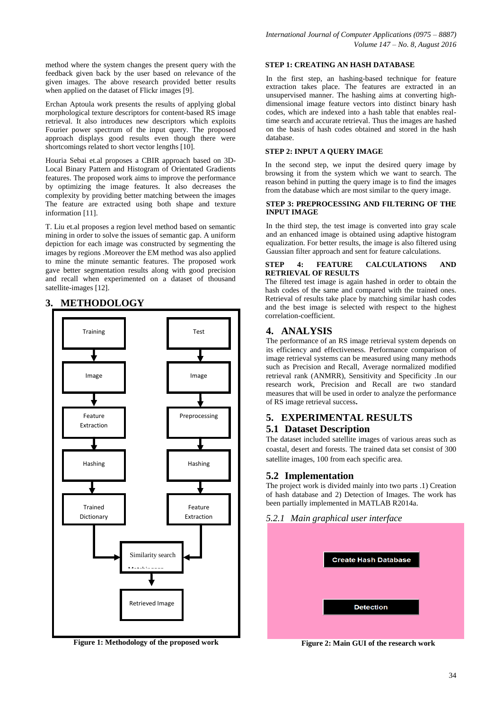method where the system changes the present query with the feedback given back by the user based on relevance of the given images. The above research provided better results when applied on the dataset of Flickr images [9].

Erchan Aptoula work presents the results of applying global morphological texture descriptors for content-based RS image retrieval. It also introduces new descriptors which exploits Fourier power spectrum of the input query. The proposed approach displays good results even though there were shortcomings related to short vector lengths [10].

Houria Sebai et.al proposes a CBIR approach based on 3D-Local Binary Pattern and Histogram of Orientated Gradients features. The proposed work aims to improve the performance by optimizing the image features. It also decreases the complexity by providing better matching between the images The feature are extracted using both shape and texture information [11].

T. Liu et.al proposes a region level method based on semantic mining in order to solve the issues of semantic gap. A uniform depiction for each image was constructed by segmenting the images by regions .Moreover the EM method was also applied to mine the minute semantic features. The proposed work gave better segmentation results along with good precision and recall when experimented on a dataset of thousand satellite-images [12].

# **3. METHODOLOGY**



**Figure 1: Methodology of the proposed work**

#### **STEP 1: CREATING AN HASH DATABASE**

In the first step, an hashing-based technique for feature extraction takes place. The features are extracted in an unsupervised manner. The hashing aims at converting highdimensional image feature vectors into distinct binary hash codes, which are indexed into a hash table that enables realtime search and accurate retrieval. Thus the images are hashed on the basis of hash codes obtained and stored in the hash database.

#### **STEP 2: INPUT A QUERY IMAGE**

In the second step, we input the desired query image by browsing it from the system which we want to search. The reason behind in putting the query image is to find the images from the database which are most similar to the query image.

#### **STEP 3: PREPROCESSING AND FILTERING OF THE INPUT IMAGE**

In the third step, the test image is converted into gray scale and an enhanced image is obtained using adaptive histogram equalization. For better results, the image is also filtered using Gaussian filter approach and sent for feature calculations.

#### **STEP 4: FEATURE CALCULATIONS AND RETRIEVAL OF RESULTS**

The filtered test image is again hashed in order to obtain the hash codes of the same and compared with the trained ones. Retrieval of results take place by matching similar hash codes and the best image is selected with respect to the highest correlation-coefficient.

## **4. ANALYSIS**

The performance of an RS image retrieval system depends on its efficiency and effectiveness. Performance comparison of image retrieval systems can be measured using many methods such as Precision and Recall, Average normalized modified retrieval rank (ANMRR), Sensitivity and Specificity .In our research work, Precision and Recall are two standard measures that will be used in order to analyze the performance of RS image retrieval success**.**

# **5. EXPERIMENTAL RESULTS 5.1 Dataset Description**

The dataset included satellite images of various areas such as coastal, desert and forests. The trained data set consist of 300 satellite images, 100 from each specific area.

## **5.2 Implementation**

The project work is divided mainly into two parts .1) Creation of hash database and 2) Detection of Images. The work has been partially implemented in MATLAB R2014a.

### *5.2.1 Main graphical user interface*



**Figure 2: Main GUI of the research work**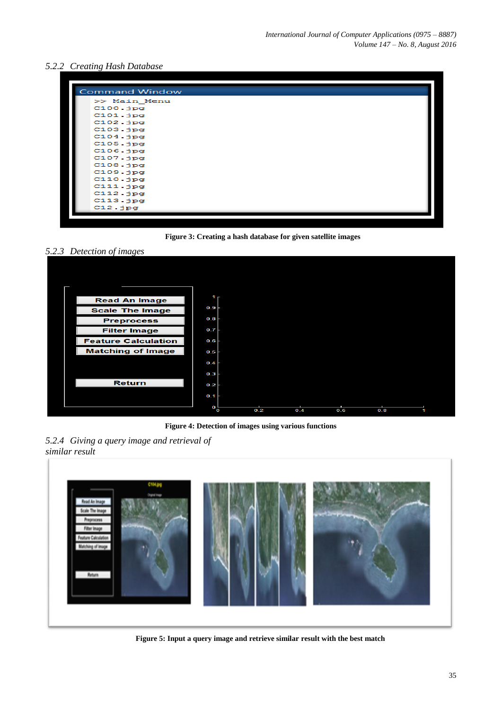# *5.2.2 Creating Hash Database*

| <b>Command Window</b> |
|-----------------------|
| >> Main Menu          |
| C100.jpg              |
| C101.jpg              |
| C102.jpg              |
| $C103.$ j $pq$        |
| C104.jpg              |
| C105.jpg              |
| C106.jpg              |
| $C107.$ j $pg$        |
| C108.jpg              |
| C109.jpg              |
| C110.jpg              |
| C111.jpg              |
| C112.jpg              |
| C113.jpg              |
| C12.jpg               |
|                       |



*5.2.3 Detection of images*



**Figure 4: Detection of images using various functions**

*5.2.4 Giving a query image and retrieval of similar result*



**Figure 5: Input a query image and retrieve similar result with the best match**